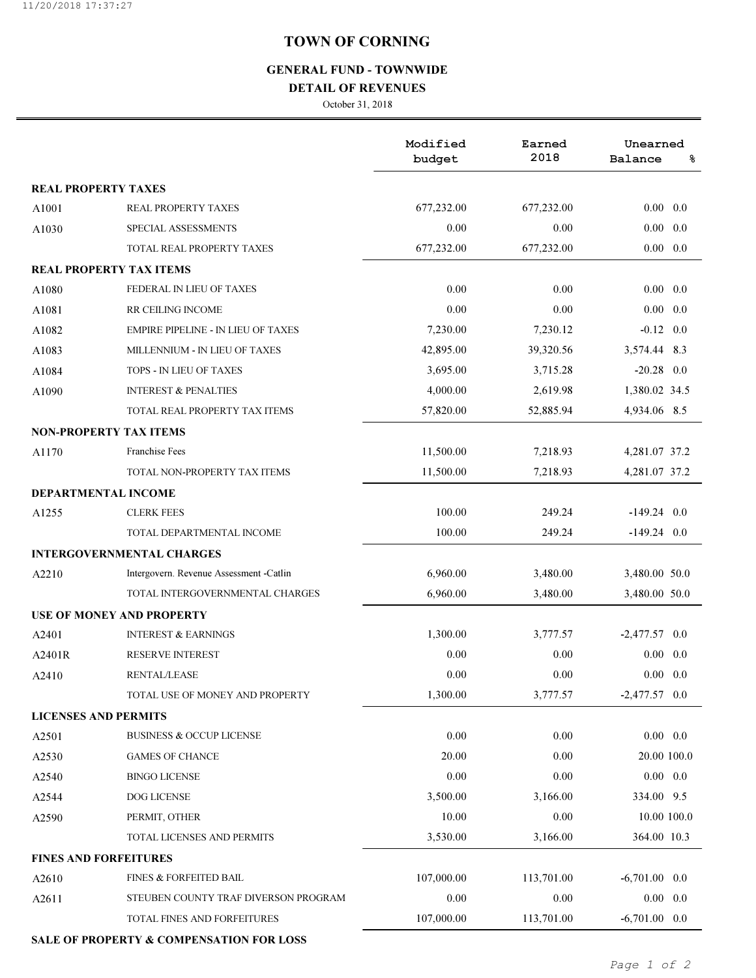## TOWN OF CORNING

## GENERAL FUND - TOWNWIDE

#### DETAIL OF REVENUES

October 31, 2018

|                                  |                                           | Modified<br>budget | Earned<br>2018 | Unearned<br>Balance<br>နွ |  |
|----------------------------------|-------------------------------------------|--------------------|----------------|---------------------------|--|
| <b>REAL PROPERTY TAXES</b>       |                                           |                    |                |                           |  |
| A1001                            | <b>REAL PROPERTY TAXES</b>                | 677,232.00         | 677,232.00     | $0.00 \quad 0.0$          |  |
| A1030                            | SPECIAL ASSESSMENTS                       | 0.00               | 0.00           | $0.00 \quad 0.0$          |  |
|                                  | TOTAL REAL PROPERTY TAXES                 | 677,232.00         | 677,232.00     | $0.00 \quad 0.0$          |  |
| <b>REAL PROPERTY TAX ITEMS</b>   |                                           |                    |                |                           |  |
| A1080                            | FEDERAL IN LIEU OF TAXES                  | 0.00               | 0.00           | $0.00 \quad 0.0$          |  |
| A1081                            | RR CEILING INCOME                         | 0.00               | 0.00           | $0.00\,$<br>0.0           |  |
| A1082                            | <b>EMPIRE PIPELINE - IN LIEU OF TAXES</b> | 7,230.00           | 7,230.12       | $-0.12$ 0.0               |  |
| A1083                            | MILLENNIUM - IN LIEU OF TAXES             | 42,895.00          | 39,320.56      | 3,574.44 8.3              |  |
| A1084                            | <b>TOPS - IN LIEU OF TAXES</b>            | 3,695.00           | 3,715.28       | $-20.28$ 0.0              |  |
| A1090                            | <b>INTEREST &amp; PENALTIES</b>           | 4,000.00           | 2,619.98       | 1,380.02 34.5             |  |
|                                  | TOTAL REAL PROPERTY TAX ITEMS             | 57,820.00          | 52,885.94      | 4,934.06 8.5              |  |
| <b>NON-PROPERTY TAX ITEMS</b>    |                                           |                    |                |                           |  |
| A1170                            | <b>Franchise Fees</b>                     | 11,500.00          | 7,218.93       | 4,281.07 37.2             |  |
|                                  | TOTAL NON-PROPERTY TAX ITEMS              | 11,500.00          | 7,218.93       | 4,281.07 37.2             |  |
| DEPARTMENTAL INCOME              |                                           |                    |                |                           |  |
| A1255                            | <b>CLERK FEES</b>                         | 100.00             | 249.24         | $-149.24$ 0.0             |  |
|                                  | TOTAL DEPARTMENTAL INCOME                 | 100.00             | 249.24         | $-149.24$ 0.0             |  |
|                                  | <b>INTERGOVERNMENTAL CHARGES</b>          |                    |                |                           |  |
| A2210                            | Intergovern. Revenue Assessment -Catlin   | 6,960.00           | 3,480.00       | 3,480.00 50.0             |  |
|                                  | TOTAL INTERGOVERNMENTAL CHARGES           | 6,960.00           | 3,480.00       | 3,480.00 50.0             |  |
| <b>USE OF MONEY AND PROPERTY</b> |                                           |                    |                |                           |  |
| A2401                            | <b>INTEREST &amp; EARNINGS</b>            | 1,300.00           | 3,777.57       | $-2,477.57$ 0.0           |  |
| A2401R                           | <b>RESERVE INTEREST</b>                   | 0.00               | 0.00           | $0.00 \quad 0.0$          |  |
| A2410                            | <b>RENTAL/LEASE</b>                       | 0.00               | 0.00           | $0.00 \quad 0.0$          |  |
|                                  | TOTAL USE OF MONEY AND PROPERTY           | 1,300.00           | 3,777.57       | $-2,477.57$ 0.0           |  |
| <b>LICENSES AND PERMITS</b>      |                                           |                    |                |                           |  |
| A2501                            | <b>BUSINESS &amp; OCCUP LICENSE</b>       | 0.00               | 0.00           | $0.00 \quad 0.0$          |  |
| A2530                            | <b>GAMES OF CHANCE</b>                    | 20.00              | 0.00           | 20.00 100.0               |  |
| A2540                            | <b>BINGO LICENSE</b>                      | 0.00               | 0.00           | $0.00 \quad 0.0$          |  |
| A2544                            | DOG LICENSE                               | 3,500.00           | 3,166.00       | 334.00 9.5                |  |
| A2590                            | PERMIT, OTHER                             | 10.00              | $0.00\,$       | 10.00 100.0               |  |
|                                  | TOTAL LICENSES AND PERMITS                | 3,530.00           | 3,166.00       | 364.00 10.3               |  |
| <b>FINES AND FORFEITURES</b>     |                                           |                    |                |                           |  |
| A2610                            | <b>FINES &amp; FORFEITED BAIL</b>         | 107,000.00         | 113,701.00     | $-6,701.00$ 0.0           |  |
| A2611                            | STEUBEN COUNTY TRAF DIVERSON PROGRAM      | 0.00               | 0.00           | $0.00 \quad 0.0$          |  |
|                                  | TOTAL FINES AND FORFEITURES               | 107,000.00         | 113,701.00     | $-6,701.00$ 0.0           |  |

SALE OF PROPERTY & COMPENSATION FOR LOSS